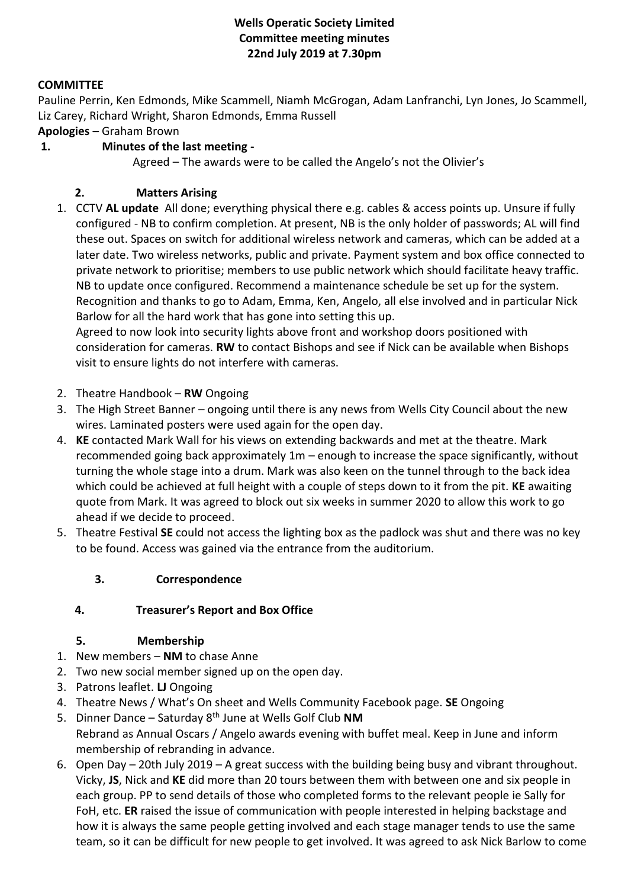## **Wells Operatic Society Limited Committee meeting minutes 22nd July 2019 at 7.30pm**

## **COMMITTEE**

Pauline Perrin, Ken Edmonds, Mike Scammell, Niamh McGrogan, Adam Lanfranchi, Lyn Jones, Jo Scammell, Liz Carey, Richard Wright, Sharon Edmonds, Emma Russell

**Apologies –** Graham Brown

## **1. Minutes of the last meeting -**

Agreed – The awards were to be called the Angelo's not the Olivier's

## **2. Matters Arising**

1. CCTV **AL update** All done; everything physical there e.g. cables & access points up. Unsure if fully configured - NB to confirm completion. At present, NB is the only holder of passwords; AL will find these out. Spaces on switch for additional wireless network and cameras, which can be added at a later date. Two wireless networks, public and private. Payment system and box office connected to private network to prioritise; members to use public network which should facilitate heavy traffic. NB to update once configured. Recommend a maintenance schedule be set up for the system. Recognition and thanks to go to Adam, Emma, Ken, Angelo, all else involved and in particular Nick Barlow for all the hard work that has gone into setting this up.

Agreed to now look into security lights above front and workshop doors positioned with consideration for cameras. **RW** to contact Bishops and see if Nick can be available when Bishops visit to ensure lights do not interfere with cameras.

- 2. Theatre Handbook **RW** Ongoing
- 3. The High Street Banner ongoing until there is any news from Wells City Council about the new wires. Laminated posters were used again for the open day.
- 4. **KE** contacted Mark Wall for his views on extending backwards and met at the theatre. Mark recommended going back approximately 1m – enough to increase the space significantly, without turning the whole stage into a drum. Mark was also keen on the tunnel through to the back idea which could be achieved at full height with a couple of steps down to it from the pit. **KE** awaiting quote from Mark. It was agreed to block out six weeks in summer 2020 to allow this work to go ahead if we decide to proceed.
- 5. Theatre Festival **SE** could not access the lighting box as the padlock was shut and there was no key to be found. Access was gained via the entrance from the auditorium.

### **3. Correspondence**

### **4. Treasurer's Report and Box Office**

### **5. Membership**

- 1. New members **NM** to chase Anne
- 2. Two new social member signed up on the open day.
- 3. Patrons leaflet. **LJ** Ongoing
- 4. Theatre News / What's On sheet and Wells Community Facebook page. **SE** Ongoing
- 5. Dinner Dance Saturday 8th June at Wells Golf Club **NM**
- Rebrand as Annual Oscars / Angelo awards evening with buffet meal. Keep in June and inform membership of rebranding in advance.
- 6. Open Day 20th July 2019 A great success with the building being busy and vibrant throughout. Vicky, **JS**, Nick and **KE** did more than 20 tours between them with between one and six people in each group. PP to send details of those who completed forms to the relevant people ie Sally for FoH, etc. **ER** raised the issue of communication with people interested in helping backstage and how it is always the same people getting involved and each stage manager tends to use the same team, so it can be difficult for new people to get involved. It was agreed to ask Nick Barlow to come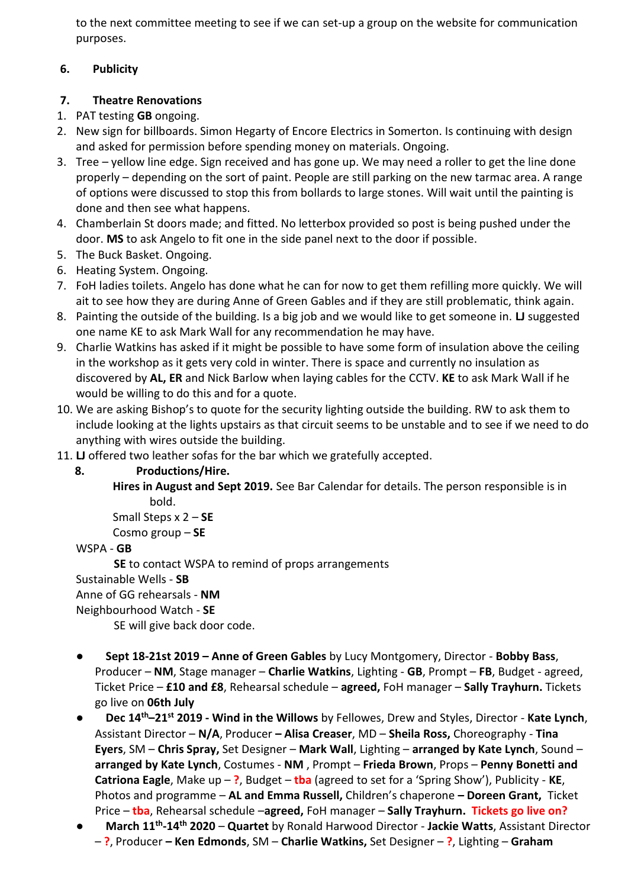to the next committee meeting to see if we can set-up a group on the website for communication purposes.

## **6. Publicity**

# **7. Theatre Renovations**

- 1. PAT testing **GB** ongoing.
- 2. New sign for billboards. Simon Hegarty of Encore Electrics in Somerton. Is continuing with design and asked for permission before spending money on materials. Ongoing.
- 3. Tree yellow line edge. Sign received and has gone up. We may need a roller to get the line done properly – depending on the sort of paint. People are still parking on the new tarmac area. A range of options were discussed to stop this from bollards to large stones. Will wait until the painting is done and then see what happens.
- 4. Chamberlain St doors made; and fitted. No letterbox provided so post is being pushed under the door. **MS** to ask Angelo to fit one in the side panel next to the door if possible.
- 5. The Buck Basket. Ongoing.
- 6. Heating System. Ongoing.
- 7. FoH ladies toilets. Angelo has done what he can for now to get them refilling more quickly. We will ait to see how they are during Anne of Green Gables and if they are still problematic, think again.
- 8. Painting the outside of the building. Is a big job and we would like to get someone in. **LJ** suggested one name KE to ask Mark Wall for any recommendation he may have.
- 9. Charlie Watkins has asked if it might be possible to have some form of insulation above the ceiling in the workshop as it gets very cold in winter. There is space and currently no insulation as discovered by **AL, ER** and Nick Barlow when laying cables for the CCTV. **KE** to ask Mark Wall if he would be willing to do this and for a quote.
- 10. We are asking Bishop's to quote for the security lighting outside the building. RW to ask them to include looking at the lights upstairs as that circuit seems to be unstable and to see if we need to do anything with wires outside the building.
- 11. **LJ** offered two leather sofas for the bar which we gratefully accepted.
	- **8. Productions/Hire.**
		- **Hires in August and Sept 2019.** See Bar Calendar for details. The person responsible is in bold.

Small Steps x 2 – **SE**

Cosmo group – **SE**

## WSPA - **GB**

**SE** to contact WSPA to remind of props arrangements Sustainable Wells - **SB** Anne of GG rehearsals - **NM** Neighbourhood Watch - **SE** SE will give back door code.

- **Sept 18-21st 2019 – Anne of Green Gables** by Lucy Montgomery, Director **Bobby Bass**, Producer – **NM**, Stage manager – **Charlie Watkins**, Lighting - **GB**, Prompt – **FB**, Budget - agreed, Ticket Price – **£10 and £8**, Rehearsal schedule – **agreed,** FoH manager – **Sally Trayhurn.** Tickets go live on **06th July**
- **Dec 14th–21st 2019 - Wind in the Willows** by Fellowes, Drew and Styles, Director **Kate Lynch**, Assistant Director – **N/A**, Producer **– Alisa Creaser**, MD – **Sheila Ross,** Choreography - **Tina Eyers**, SM – **Chris Spray,** Set Designer – **Mark Wall**, Lighting – **arranged by Kate Lynch**, Sound – **arranged by Kate Lynch**, Costumes - **NM** , Prompt – **Frieda Brown**, Props – **Penny Bonetti and Catriona Eagle**, Make up – **?**, Budget – **tba** (agreed to set for a 'Spring Show'), Publicity - **KE**, Photos and programme – **AL and Emma Russell,** Children's chaperone **– Doreen Grant,** Ticket Price – **tba**, Rehearsal schedule –**agreed,** FoH manager – **Sally Trayhurn. Tickets go live on?**
- **March 11th -14th 2020 Quartet** by Ronald Harwood Director **Jackie Watts**, Assistant Director – **?**, Producer **– Ken Edmonds**, SM – **Charlie Watkins,** Set Designer – **?**, Lighting – **Graham**